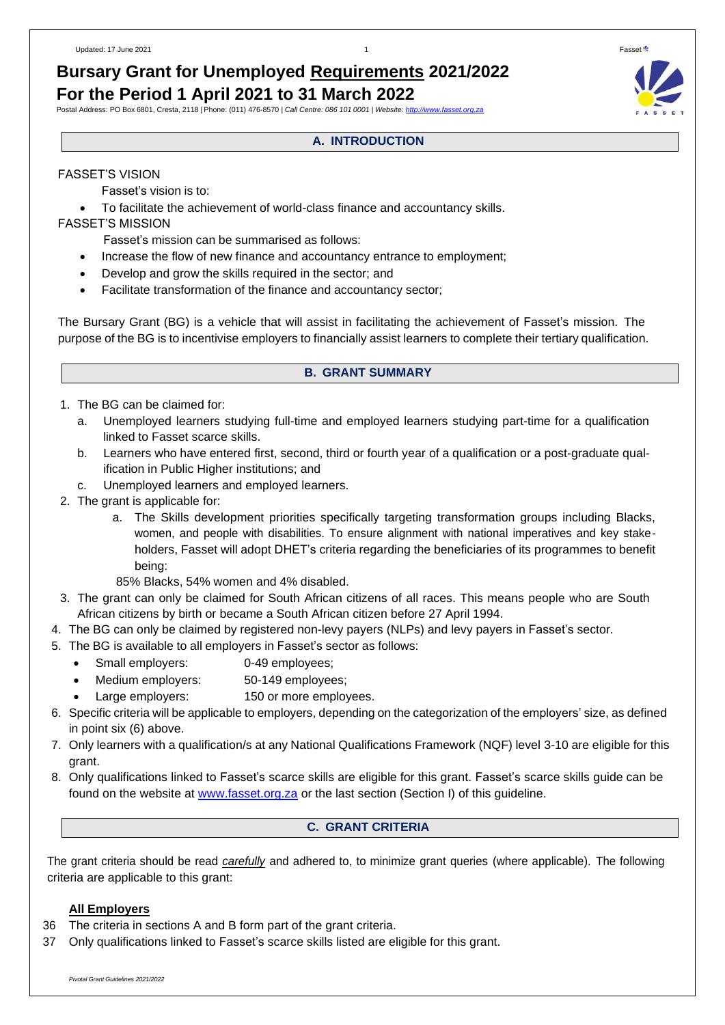# **Bursary Grant for Unemployed Requirements 2021/2022 For the Period 1 April 2021 to 31 March 2022**

## Postal Address: PO Box 6801, Cresta, 2118 | Phone: (011) 476-8570 *| Call Centre: 086 101 0001 | Website: [http://www.fasset.org.za](http://www.fasset.org.za/)*

## **A. INTRODUCTION**

### FASSET'S VISION

Fasset's vision is to:

• To facilitate the achievement of world-class finance and accountancy skills.

### FASSET'S MISSION

Fasset's mission can be summarised as follows:

- Increase the flow of new finance and accountancy entrance to employment;
- Develop and grow the skills required in the sector; and
- Facilitate transformation of the finance and accountancy sector;

The Bursary Grant (BG) is a vehicle that will assist in facilitating the achievement of Fasset's mission. The purpose of the BG is to incentivise employers to financially assist learners to complete their tertiary qualification.

### **B. GRANT SUMMARY**

- 1. The BG can be claimed for:
	- a. Unemployed learners studying full-time and employed learners studying part-time for a qualification linked to Fasset scarce skills.
	- b. Learners who have entered first, second, third or fourth year of a qualification or a post-graduate qualification in Public Higher institutions; and
	- c. Unemployed learners and employed learners.
- 2. The grant is applicable for:
	- a. The Skills development priorities specifically targeting transformation groups including Blacks, women, and people with disabilities. To ensure alignment with national imperatives and key stakeholders, Fasset will adopt DHET's criteria regarding the beneficiaries of its programmes to benefit being:
	- 85% Blacks, 54% women and 4% disabled.
- 3. The grant can only be claimed for South African citizens of all races. This means people who are South African citizens by birth or became a South African citizen before 27 April 1994.
- 4. The BG can only be claimed by registered non-levy payers (NLPs) and levy payers in Fasset's sector.
- 5. The BG is available to all employers in Fasset's sector as follows:
	- Small employers: 0-49 employees;
	- Medium employers: 50-149 employees;
	- Large employers: 150 or more employees.
- 6. Specific criteria will be applicable to employers, depending on the categorization of the employers' size, as defined in point six (6) above.
- 7. Only learners with a qualification/s at any National Qualifications Framework (NQF) level 3-10 are eligible for this grant.
- 8. Only qualifications linked to Fasset's scarce skills are eligible for this grant. Fasset's scarce skills guide can be found on the website at [www.fasset.org.za](http://www.fasset.org.za/) or the last section (Section I) of this guideline.

### **C. GRANT CRITERIA**

The grant criteria should be read *carefully* and adhered to, to minimize grant queries (where applicable). The following criteria are applicable to this grant:

### **All Employers**

- 36 The criteria in sections A and B form part of the grant criteria.
- 37 Only qualifications linked to Fasset's scarce skills listed are eligible for this grant.

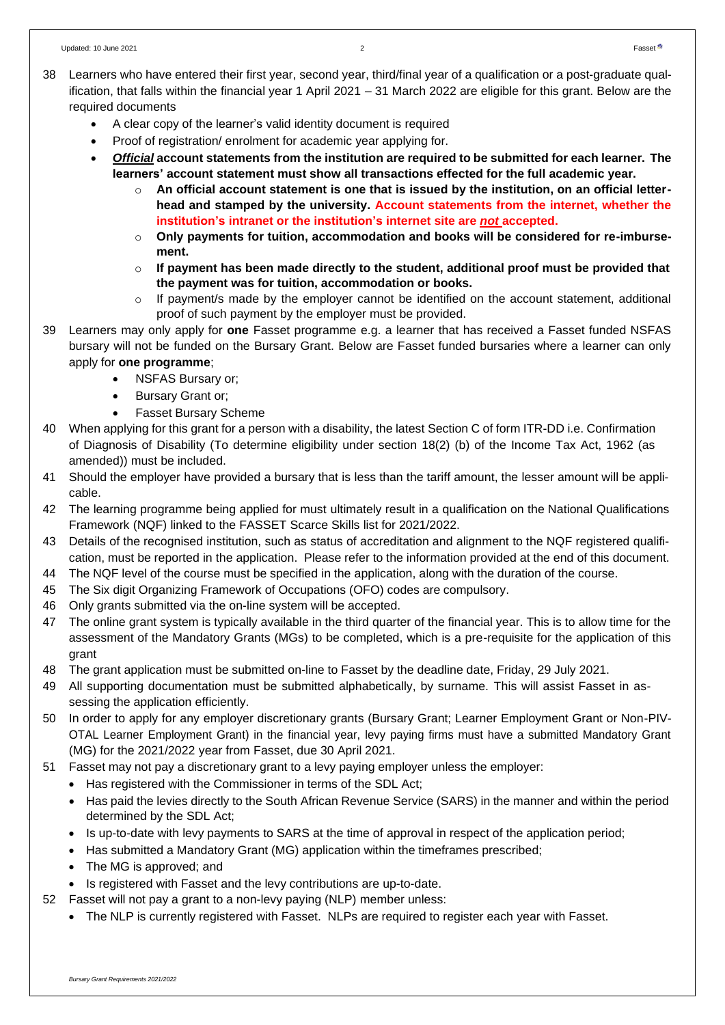- A clear copy of the learner's valid identity document is required
- Proof of registration/ enrolment for academic year applying for.
- *Official* **account statements from the institution are required to be submitted for each learner. The learners' account statement must show all transactions effected for the full academic year.**
	- o **An official account statement is one that is issued by the institution, on an official letterhead and stamped by the university. Account statements from the internet, whether the institution's intranet or the institution's internet site are** *not* **accepted.**
	- o **Only payments for tuition, accommodation and books will be considered for re-imbursement.**
	- o **If payment has been made directly to the student, additional proof must be provided that the payment was for tuition, accommodation or books.**
	- $\circ$  If payment/s made by the employer cannot be identified on the account statement, additional proof of such payment by the employer must be provided.
- 39 Learners may only apply for **one** Fasset programme e.g. a learner that has received a Fasset funded NSFAS bursary will not be funded on the Bursary Grant. Below are Fasset funded bursaries where a learner can only apply for **one programme**;
	- NSFAS Bursary or:
	- Bursary Grant or;
	- Fasset Bursary Scheme
- 40 When applying for this grant for a person with a disability, the latest Section C of form ITR-DD i.e. Confirmation of Diagnosis of Disability (To determine eligibility under section 18(2) (b) of the Income Tax Act, 1962 (as amended)) must be included.
- 41 Should the employer have provided a bursary that is less than the tariff amount, the lesser amount will be applicable.
- 42 The learning programme being applied for must ultimately result in a qualification on the National Qualifications Framework (NQF) linked to the FASSET Scarce Skills list for 2021/2022.
- 43 Details of the recognised institution, such as status of accreditation and alignment to the NQF registered qualification, must be reported in the application. Please refer to the information provided at the end of this document.
- 44 The NQF level of the course must be specified in the application, along with the duration of the course.
- 45 The Six digit Organizing Framework of Occupations (OFO) codes are compulsory.
- 46 Only grants submitted via the on-line system will be accepted.
- 47 The online grant system is typically available in the third quarter of the financial year. This is to allow time for the assessment of the Mandatory Grants (MGs) to be completed, which is a pre-requisite for the application of this grant
- 48 The grant application must be submitted on-line to Fasset by the deadline date, Friday, 29 July 2021.
- 49 All supporting documentation must be submitted alphabetically, by surname. This will assist Fasset in assessing the application efficiently.
- 50 In order to apply for any employer discretionary grants (Bursary Grant; Learner Employment Grant or Non-PIV-OTAL Learner Employment Grant) in the financial year, levy paying firms must have a submitted Mandatory Grant (MG) for the 2021/2022 year from Fasset, due 30 April 2021.
- 51 Fasset may not pay a discretionary grant to a levy paying employer unless the employer:
	- Has registered with the Commissioner in terms of the SDL Act;
	- Has paid the levies directly to the South African Revenue Service (SARS) in the manner and within the period determined by the SDL Act;
	- Is up-to-date with levy payments to SARS at the time of approval in respect of the application period;
	- Has submitted a Mandatory Grant (MG) application within the timeframes prescribed;
	- The MG is approved; and
	- Is registered with Fasset and the levy contributions are up-to-date.
- 52 Fasset will not pay a grant to a non-levy paying (NLP) member unless:
	- The NLP is currently registered with Fasset. NLPs are required to register each year with Fasset.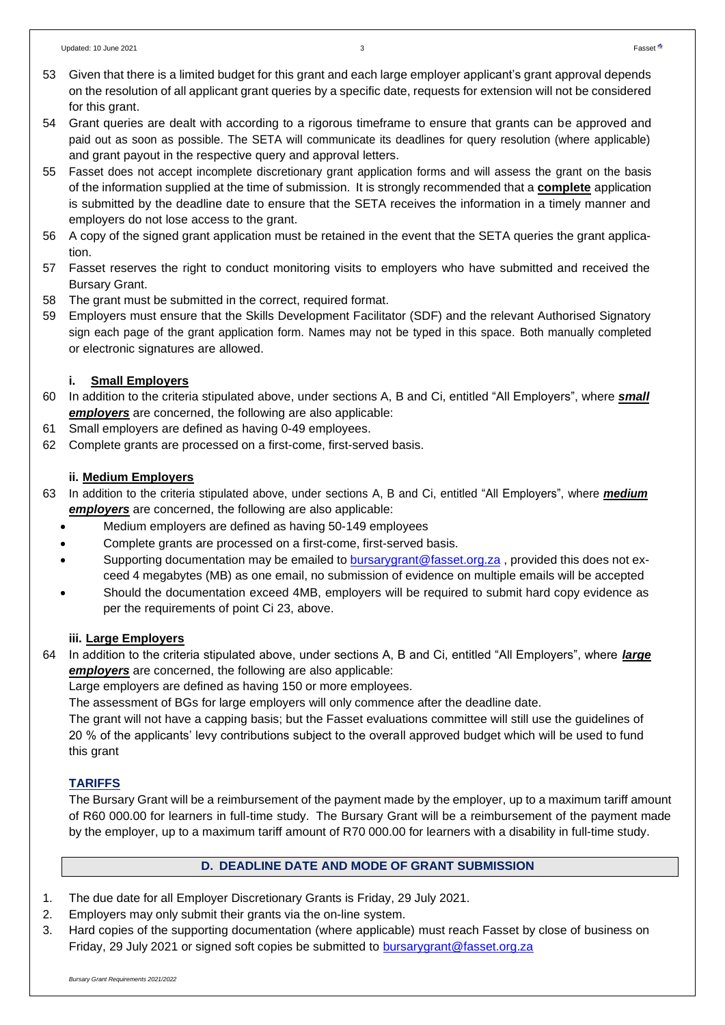- 54 Grant queries are dealt with according to a rigorous timeframe to ensure that grants can be approved and paid out as soon as possible. The SETA will communicate its deadlines for query resolution (where applicable) and grant payout in the respective query and approval letters.
- 55 Fasset does not accept incomplete discretionary grant application forms and will assess the grant on the basis of the information supplied at the time of submission. It is strongly recommended that a **complete** application is submitted by the deadline date to ensure that the SETA receives the information in a timely manner and employers do not lose access to the grant.
- 56 A copy of the signed grant application must be retained in the event that the SETA queries the grant application.
- 57 Fasset reserves the right to conduct monitoring visits to employers who have submitted and received the Bursary Grant.
- 58 The grant must be submitted in the correct, required format.
- 59 Employers must ensure that the Skills Development Facilitator (SDF) and the relevant Authorised Signatory sign each page of the grant application form. Names may not be typed in this space. Both manually completed or electronic signatures are allowed.

# **i. Small Employers**

- 60 In addition to the criteria stipulated above, under sections A, B and Ci, entitled "All Employers", where *small employers* are concerned, the following are also applicable:
- 61 Small employers are defined as having 0-49 employees.
- 62 Complete grants are processed on a first-come, first-served basis.

# **ii. Medium Employers**

- 63 In addition to the criteria stipulated above, under sections A, B and Ci, entitled "All Employers", where *medium employers* are concerned, the following are also applicable:
	- Medium employers are defined as having 50-149 employees
	- Complete grants are processed on a first-come, first-served basis.
	- Supporting documentation may be emailed to **[bursarygrant@fasset.org.za](mailto:bursarygrant@fasset.org.za)**, provided this does not exceed 4 megabytes (MB) as one email, no submission of evidence on multiple emails will be accepted
	- Should the documentation exceed 4MB, employers will be required to submit hard copy evidence as per the requirements of point Ci 23, above.

# **iii. Large Employers**

64 In addition to the criteria stipulated above, under sections A, B and Ci, entitled "All Employers", where *large employers* are concerned, the following are also applicable:

Large employers are defined as having 150 or more employees.

The assessment of BGs for large employers will only commence after the deadline date.

The grant will not have a capping basis; but the Fasset evaluations committee will still use the guidelines of 20 % of the applicants' levy contributions subject to the overall approved budget which will be used to fund this grant

# **TARIFFS**

The Bursary Grant will be a reimbursement of the payment made by the employer, up to a maximum tariff amount of R60 000.00 for learners in full-time study. The Bursary Grant will be a reimbursement of the payment made by the employer, up to a maximum tariff amount of R70 000.00 for learners with a disability in full-time study.

# **D. DEADLINE DATE AND MODE OF GRANT SUBMISSION**

- 1. The due date for all Employer Discretionary Grants is Friday, 29 July 2021.
- 2. Employers may only submit their grants via the on-line system.
- 3. Hard copies of the supporting documentation (where applicable) must reach Fasset by close of business on Friday, 29 July 2021 or signed soft copies be submitted to [bursarygrant@fasset.org.za](mailto:bursarygrant@fasset.org.za)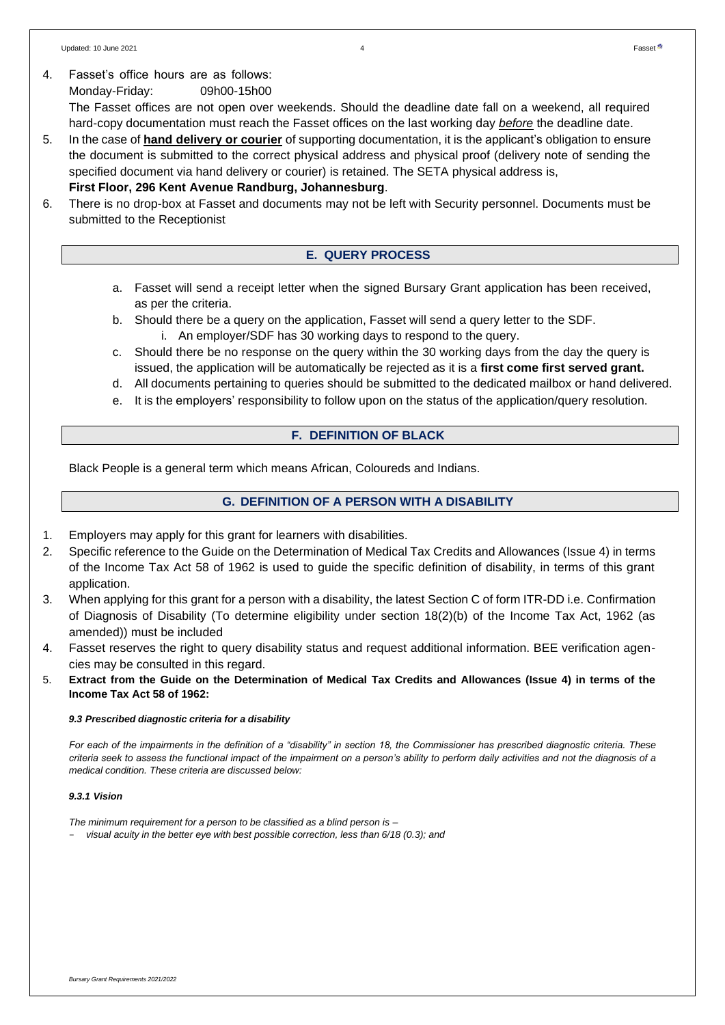4. Fasset's office hours are as follows: Monday-Friday: 09h00-15h00 The Fasset offices are not open over weekends. Should the deadline date fall on a weekend, all required hard-copy documentation must reach the Fasset offices on the last working day *before* the deadline date.

5. In the case of **hand delivery or courier** of supporting documentation, it is the applicant's obligation to ensure the document is submitted to the correct physical address and physical proof (delivery note of sending the specified document via hand delivery or courier) is retained. The SETA physical address is,

## **First Floor, 296 Kent Avenue Randburg, Johannesburg**.

6. There is no drop-box at Fasset and documents may not be left with Security personnel. Documents must be submitted to the Receptionist

### **E. QUERY PROCESS**

- a. Fasset will send a receipt letter when the signed Bursary Grant application has been received, as per the criteria.
- b. Should there be a query on the application, Fasset will send a query letter to the SDF. i. An employer/SDF has 30 working days to respond to the query.
- c. Should there be no response on the query within the 30 working days from the day the query is issued, the application will be automatically be rejected as it is a **first come first served grant.**
- d. All documents pertaining to queries should be submitted to the dedicated mailbox or hand delivered.
- e. It is the employers' responsibility to follow upon on the status of the application/query resolution.

### **F. DEFINITION OF BLACK**

Black People is a general term which means African, Coloureds and Indians.

### **G. DEFINITION OF A PERSON WITH A DISABILITY**

- 1. Employers may apply for this grant for learners with disabilities.
- 2. Specific reference to the Guide on the Determination of Medical Tax Credits and Allowances (Issue 4) in terms of the Income Tax Act 58 of 1962 is used to guide the specific definition of disability, in terms of this grant application.
- 3. When applying for this grant for a person with a disability, the latest Section C of form ITR-DD i.e. Confirmation of Diagnosis of Disability (To determine eligibility under section 18(2)(b) of the Income Tax Act, 1962 (as amended)) must be included
- 4. Fasset reserves the right to query disability status and request additional information. BEE verification agencies may be consulted in this regard.
- 5. **Extract from the Guide on the Determination of Medical Tax Credits and Allowances (Issue 4) in terms of the Income Tax Act 58 of 1962:**

### *9.3 Prescribed diagnostic criteria for a disability*

*For each of the impairments in the definition of a "disability" in section 18, the Commissioner has prescribed diagnostic criteria. These criteria seek to assess the functional impact of the impairment on a person's ability to perform daily activities and not the diagnosis of a medical condition. These criteria are discussed below:*

### *9.3.1 Vision*

*The minimum requirement for a person to be classified as a blind person is –*

- *visual acuity in the better eye with best possible correction, less than 6/18 (0.3); and*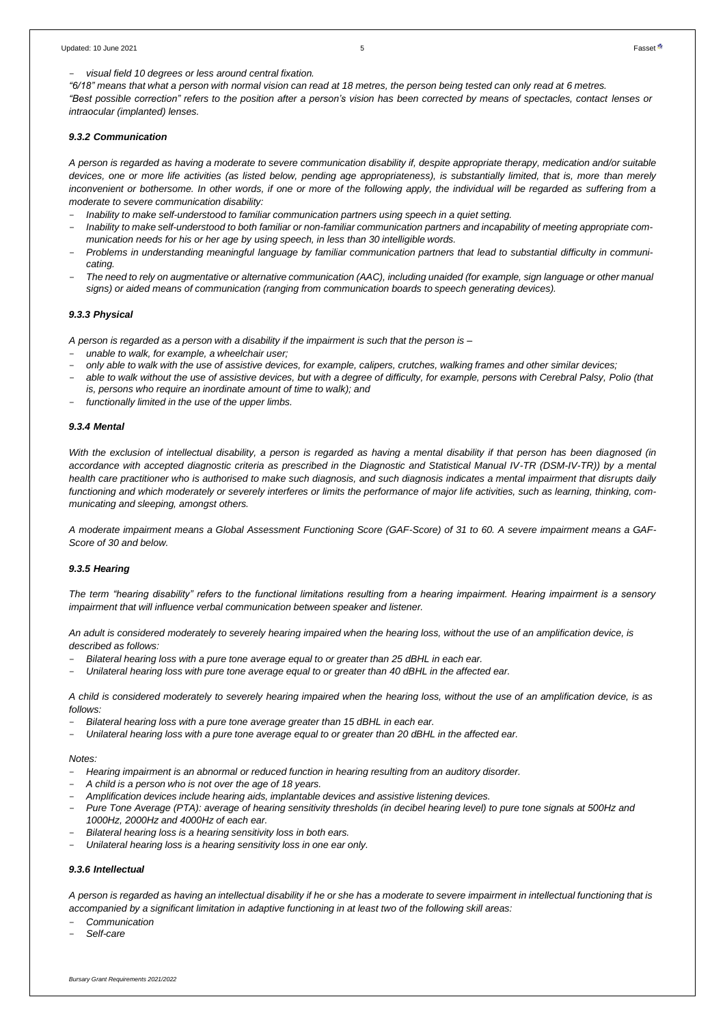"6/18" means that what a person with normal vision can read at 18 metres, the person being tested can only read at 6 metres.

"Best possible correction" refers to the position after a person's vision has been corrected by means of spectacles, contact lenses or *intraocular (implanted) lenses.*

#### *9.3.2 Communication*

A person is regarded as having a moderate to severe communication disability if, despite appropriate therapy, medication and/or suitable *devices, one or more life activities (as listed below, pending age appropriateness), is substantially limited, that is, more than merely inconvenient or bothersome. In other words, if one or more of the following apply, the individual will be regarded as suffering from a moderate to severe communication disability:*

- *Inability to make self-understood to familiar communication partners using speech in a quiet setting.*
- Inability to make self-understood to both familiar or non-familiar communication partners and incapability of meeting appropriate com*munication needs for his or her age by using speech, in less than 30 intelligible words.*
- Problems in understanding meaningful language by familiar communication partners that lead to substantial difficulty in communi*cating.*
- The need to rely on augmentative or alternative communication (AAC), including unaided (for example, sign language or other manual *signs) or aided means of communication (ranging from communication boards to speech generating devices).*

#### *9.3.3 Physical*

A person is regarded as a person with a disability if the impairment is such that the person is -

- *unable to walk, for example, a wheelchair user;*
- only able to walk with the use of assistive devices, for example, calipers, crutches, walking frames and other similar devices;
- *able to walk without the use of assistive devices, but with a degree of difficulty, for example, persons with Cerebral Palsy, Polio (that is, persons who require an inordinate amount of time to walk); and*
- *functionally limited in the use of the upper limbs.*

#### *9.3.4 Mental*

*With the exclusion of intellectual disability, a person is regarded as having a mental disability if that person has been diagnosed (in accordance with accepted diagnostic criteria as prescribed in the Diagnostic and Statistical Manual IV-TR (DSM-IV-TR)) by a mental health care practitioner who is authorised to make such diagnosis, and such diagnosis indicates a mental impairment that disrupts daily functioning and which moderately or severely interferes or limits the performance of major life activities, such as learning, thinking, communicating and sleeping, amongst others.*

*A moderate impairment means a Global Assessment Functioning Score (GAF-Score) of 31 to 60. A severe impairment means a GAF-Score of 30 and below.*

#### *9.3.5 Hearing*

*The term "hearing disability" refers to the functional limitations resulting from a hearing impairment. Hearing impairment is a sensory impairment that will influence verbal communication between speaker and listener.*

*An adult is considered moderately to severely hearing impaired when the hearing loss, without the use of an amplification device, is described as follows:*

- *Bilateral hearing loss with a pure tone average equal to or greater than 25 dBHL in each ear.*
- Unilateral hearing loss with pure tone average equal to or greater than 40 dBHL in the affected ear.

A child is considered moderately to severely hearing impaired when the hearing loss, without the use of an amplification device, is as *follows:*

- *Bilateral hearing loss with a pure tone average greater than 15 dBHL in each ear.*
- Unilateral hearing loss with a pure tone average equal to or greater than 20 dBHL in the affected ear.

#### *Notes:*

- *Hearing impairment is an abnormal or reduced function in hearing resulting from an auditory disorder.*
- *A child is a person who is not over the age of 18 years.*
- *Amplification devices include hearing aids, implantable devices and assistive listening devices.*
- *Pure Tone Average (PTA): average of hearing sensitivity thresholds (in decibel hearing level) to pure tone signals at 500Hz and 1000Hz, 2000Hz and 4000Hz of each ear.*
- *Bilateral hearing loss is a hearing sensitivity loss in both ears.*
- *Unilateral hearing loss is a hearing sensitivity loss in one ear only.*

#### *9.3.6 Intellectual*

A person is regarded as having an intellectual disability if he or she has a moderate to severe impairment in intellectual functioning that is *accompanied by a significant limitation in adaptive functioning in at least two of the following skill areas:*

- *Communication*
- *Self-care*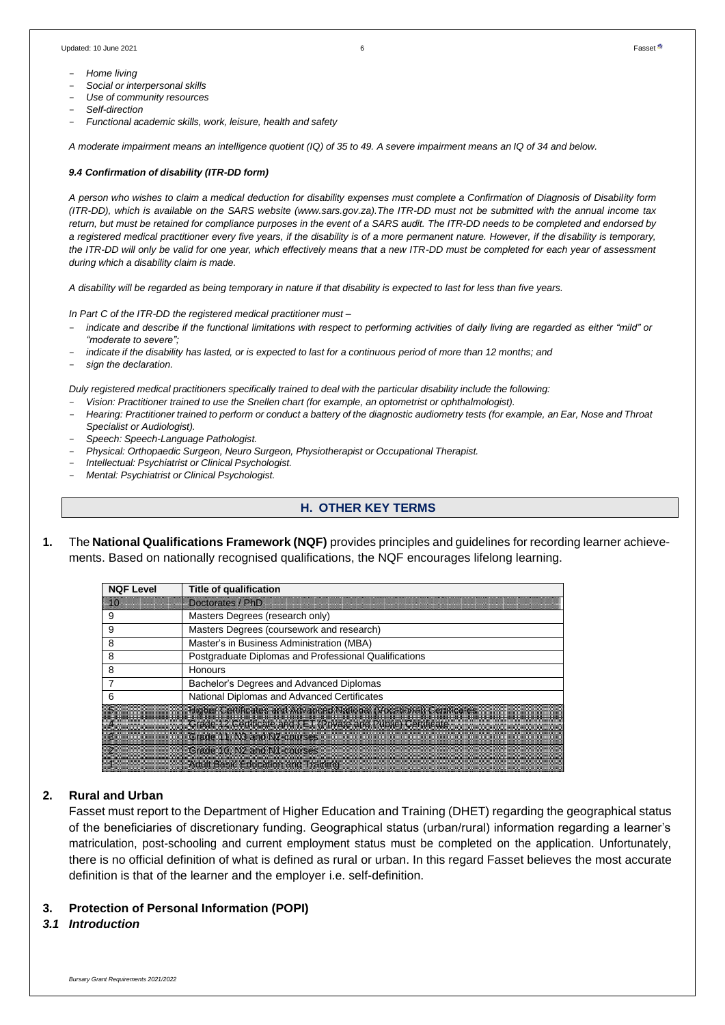- *Home living*
- *Social or interpersonal skills*
- *Use of community resources*
- *Self-direction*
- *Functional academic skills, work, leisure, health and safety*

A moderate impairment means an intelligence quotient (IQ) of 35 to 49. A severe impairment means an IQ of 34 and below.

#### *9.4 Confirmation of disability (ITR-DD form)*

*A person who wishes to claim a medical deduction for disability expenses must complete a Confirmation of Diagnosis of Disability form (ITR-DD), which is available on the SARS website (www.sars.gov.za).The ITR-DD must not be submitted with the annual income tax* return, but must be retained for compliance purposes in the event of a SARS audit. The ITR-DD needs to be completed and endorsed by *a registered medical practitioner every five years, if the disability is of a more permanent nature. However, if the disability is temporary, the ITR-DD will only be valid for one year, which effectively means that a new ITR-DD must be completed for each year of assessment during which a disability claim is made.*

*A disability will be regarded as being temporary in nature if that disability is expected to last for less than five years.*

*In Part C of the ITR-DD the registered medical practitioner must –*

- indicate and describe if the functional limitations with respect to performing activities of daily living are regarded as either "mild" or *"moderate to severe";*
- indicate if the disability has lasted, or is expected to last for a continuous period of more than 12 months; and
- *sign the declaration.*

Duly registered medical practitioners specifically trained to deal with the particular disability include the following:

- *Vision: Practitioner trained to use the Snellen chart (for example, an optometrist or ophthalmologist).*
- Hearing: Practitioner trained to perform or conduct a battery of the diagnostic audiometry tests (for example, an Ear, Nose and Throat *Specialist or Audiologist).*
- *Speech: Speech-Language Pathologist.*
- *Physical: Orthopaedic Surgeon, Neuro Surgeon, Physiotherapist or Occupational Therapist.*
- *Intellectual: Psychiatrist or Clinical Psychologist.*
- *Mental: Psychiatrist or Clinical Psychologist.*

### **H. OTHER KEY TERMS**

**1.** The **National Qualifications Framework (NQF)** provides principles and guidelines for recording learner achievements. Based on nationally recognised qualifications, the NQF encourages lifelong learning.

| <b>NQF Level</b> | <b>Title of qualification</b>                                       |
|------------------|---------------------------------------------------------------------|
| $\sqrt{10}$      | Doctorates / PhD                                                    |
| 9                | Masters Degrees (research only)                                     |
| 9                | Masters Degrees (coursework and research)                           |
| 8                | Master's in Business Administration (MBA)                           |
| 8                | Postgraduate Diplomas and Professional Qualifications               |
| 8                | Honours                                                             |
|                  | Bachelor's Degrees and Advanced Diplomas                            |
| 6                | National Diplomas and Advanced Certificates                         |
|                  | Higher Certificates and Advanced National (Vocational) Certificates |
|                  | Grade 12 Certificate and FET (Private and Public) Certificate       |
|                  | Grade 11, N3 and N2-courses                                         |
|                  | Grade 10, N2 and N1-courses                                         |
|                  | Adult Basic Education and Training                                  |

### **2. Rural and Urban**

Fasset must report to the Department of Higher Education and Training (DHET) regarding the geographical status of the beneficiaries of discretionary funding. Geographical status (urban/rural) information regarding a learner's matriculation, post-schooling and current employment status must be completed on the application. Unfortunately, there is no official definition of what is defined as rural or urban. In this regard Fasset believes the most accurate definition is that of the learner and the employer i.e. self-definition.

### **3. Protection of Personal Information (POPI)**

### *3.1 Introduction*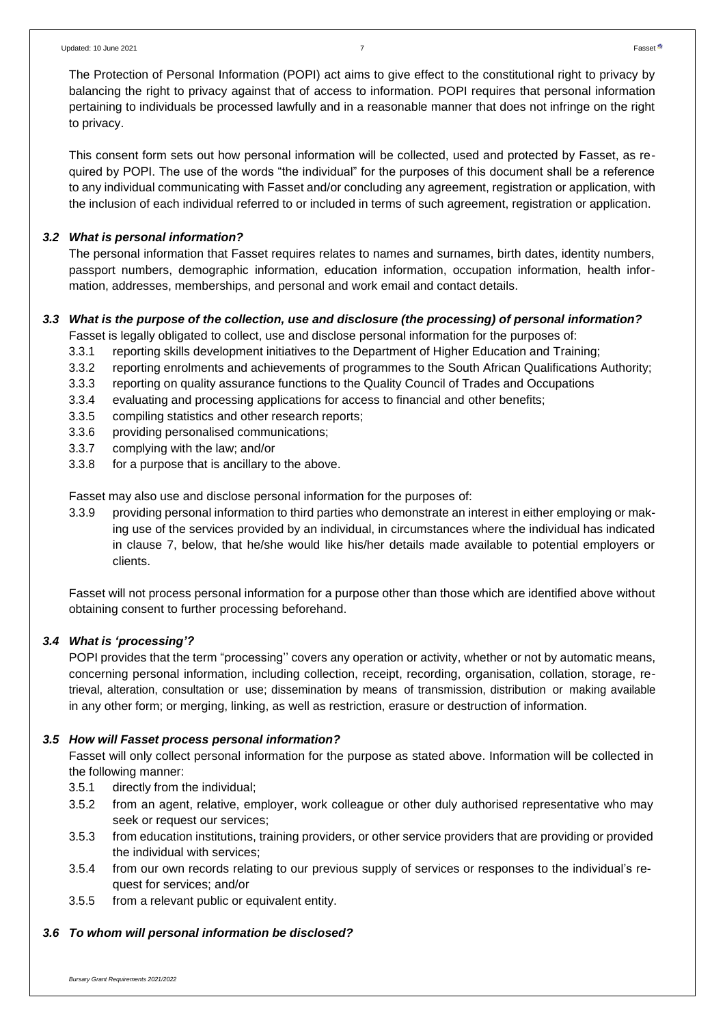The Protection of Personal Information (POPI) act aims to give effect to the constitutional right to privacy by balancing the right to privacy against that of access to information. POPI requires that personal information pertaining to individuals be processed lawfully and in a reasonable manner that does not infringe on the right to privacy.

This consent form sets out how personal information will be collected, used and protected by Fasset, as required by POPI. The use of the words "the individual" for the purposes of this document shall be a reference to any individual communicating with Fasset and/or concluding any agreement, registration or application, with the inclusion of each individual referred to or included in terms of such agreement, registration or application.

### *3.2 What is personal information?*

The personal information that Fasset requires relates to names and surnames, birth dates, identity numbers, passport numbers, demographic information, education information, occupation information, health information, addresses, memberships, and personal and work email and contact details.

## *3.3 What is the purpose of the collection, use and disclosure (the processing) of personal information?*

- Fasset is legally obligated to collect, use and disclose personal information for the purposes of:
- 3.3.1 reporting skills development initiatives to the Department of Higher Education and Training;
- 3.3.2 reporting enrolments and achievements of programmes to the South African Qualifications Authority;
- 3.3.3 reporting on quality assurance functions to the Quality Council of Trades and Occupations
- 3.3.4 evaluating and processing applications for access to financial and other benefits;
- 3.3.5 compiling statistics and other research reports;
- 3.3.6 providing personalised communications;
- 3.3.7 complying with the law; and/or
- 3.3.8 for a purpose that is ancillary to the above.

Fasset may also use and disclose personal information for the purposes of:

3.3.9 providing personal information to third parties who demonstrate an interest in either employing or making use of the services provided by an individual, in circumstances where the individual has indicated in clause 7, below, that he/she would like his/her details made available to potential employers or clients.

Fasset will not process personal information for a purpose other than those which are identified above without obtaining consent to further processing beforehand.

### *3.4 What is 'processing'?*

POPI provides that the term "processing'' covers any operation or activity, whether or not by automatic means, concerning personal information, including collection, receipt, recording, organisation, collation, storage, retrieval, alteration, consultation or use; dissemination by means of transmission, distribution or making available in any other form; or merging, linking, as well as restriction, erasure or destruction of information.

## *3.5 How will Fasset process personal information?*

Fasset will only collect personal information for the purpose as stated above. Information will be collected in the following manner:

- 3.5.1 directly from the individual;
- 3.5.2 from an agent, relative, employer, work colleague or other duly authorised representative who may seek or request our services;
- 3.5.3 from education institutions, training providers, or other service providers that are providing or provided the individual with services;
- 3.5.4 from our own records relating to our previous supply of services or responses to the individual's request for services; and/or
- 3.5.5 from a relevant public or equivalent entity.

# *3.6 To whom will personal information be disclosed?*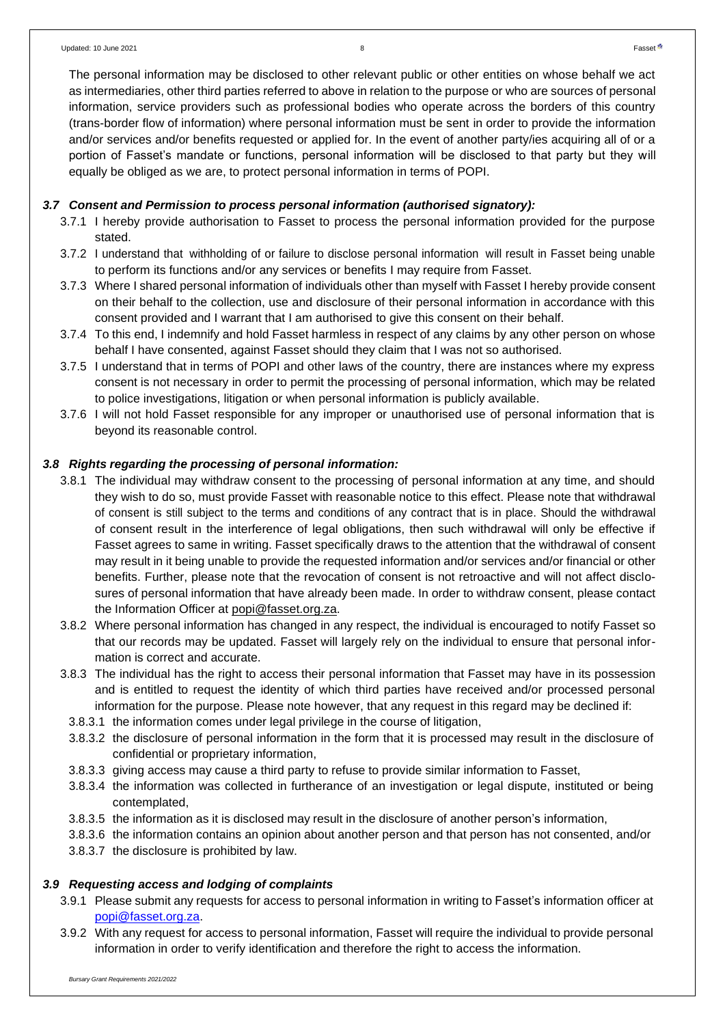The personal information may be disclosed to other relevant public or other entities on whose behalf we act as intermediaries, other third parties referred to above in relation to the purpose or who are sources of personal information, service providers such as professional bodies who operate across the borders of this country (trans-border flow of information) where personal information must be sent in order to provide the information and/or services and/or benefits requested or applied for. In the event of another party/ies acquiring all of or a portion of Fasset's mandate or functions, personal information will be disclosed to that party but they will equally be obliged as we are, to protect personal information in terms of POPI.

### *3.7 Consent and Permission to process personal information (authorised signatory):*

- 3.7.1 I hereby provide authorisation to Fasset to process the personal information provided for the purpose stated.
- 3.7.2 I understand that withholding of or failure to disclose personal information will result in Fasset being unable to perform its functions and/or any services or benefits I may require from Fasset.
- 3.7.3 Where I shared personal information of individuals other than myself with Fasset I hereby provide consent on their behalf to the collection, use and disclosure of their personal information in accordance with this consent provided and I warrant that I am authorised to give this consent on their behalf.
- 3.7.4 To this end, I indemnify and hold Fasset harmless in respect of any claims by any other person on whose behalf I have consented, against Fasset should they claim that I was not so authorised.
- 3.7.5 I understand that in terms of POPI and other laws of the country, there are instances where my express consent is not necessary in order to permit the processing of personal information, which may be related to police investigations, litigation or when personal information is publicly available.
- 3.7.6 I will not hold Fasset responsible for any improper or unauthorised use of personal information that is beyond its reasonable control.

### *3.8 Rights regarding the processing of personal information:*

- 3.8.1 The individual may withdraw consent to the processing of personal information at any time, and should they wish to do so, must provide Fasset with reasonable notice to this effect. Please note that withdrawal of consent is still subject to the terms and conditions of any contract that is in place. Should the withdrawal of consent result in the interference of legal obligations, then such withdrawal will only be effective if Fasset agrees to same in writing. Fasset specifically draws to the attention that the withdrawal of consent may result in it being unable to provide the requested information and/or services and/or financial or other benefits. Further, please note that the revocation of consent is not retroactive and will not affect disclosures of personal information that have already been made. In order to withdraw consent, please contact the Information Officer at [popi@fasset.org.za.](mailto:popi@fasset.org.za)
- 3.8.2 Where personal information has changed in any respect, the individual is encouraged to notify Fasset so that our records may be updated. Fasset will largely rely on the individual to ensure that personal information is correct and accurate.
- 3.8.3 The individual has the right to access their personal information that Fasset may have in its possession and is entitled to request the identity of which third parties have received and/or processed personal information for the purpose. Please note however, that any request in this regard may be declined if:
	- 3.8.3.1 the information comes under legal privilege in the course of litigation,
	- 3.8.3.2 the disclosure of personal information in the form that it is processed may result in the disclosure of confidential or proprietary information,
	- 3.8.3.3 giving access may cause a third party to refuse to provide similar information to Fasset,
	- 3.8.3.4 the information was collected in furtherance of an investigation or legal dispute, instituted or being contemplated,
	- 3.8.3.5 the information as it is disclosed may result in the disclosure of another person's information,
	- 3.8.3.6 the information contains an opinion about another person and that person has not consented, and/or
	- 3.8.3.7 the disclosure is prohibited by law.

### *3.9 Requesting access and lodging of complaints*

- 3.9.1 Please submit any requests for access to personal information in writing to Fasset's information officer at [popi@fasset.org.za.](mailto:popi@fasset.org.za)
- 3.9.2 With any request for access to personal information, Fasset will require the individual to provide personal information in order to verify identification and therefore the right to access the information.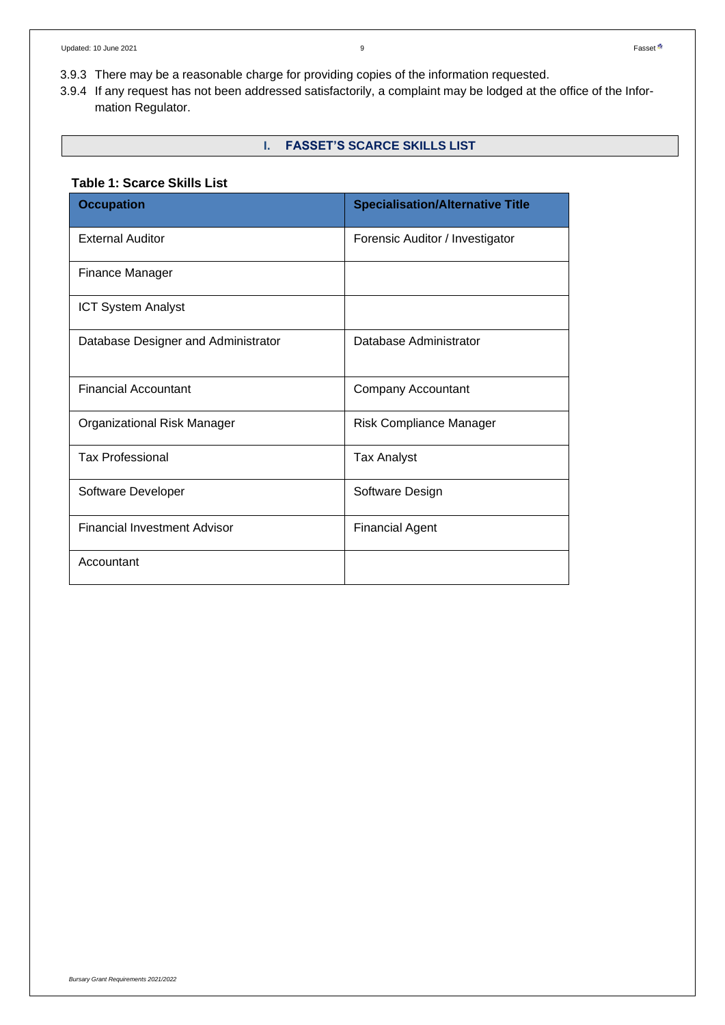- 3.9.3 There may be a reasonable charge for providing copies of the information requested.
- 3.9.4 If any request has not been addressed satisfactorily, a complaint may be lodged at the office of the Information Regulator.

## **I. FASSET'S SCARCE SKILLS LIST**

### **Table 1: Scarce Skills List**

| <b>Occupation</b>                   | <b>Specialisation/Alternative Title</b> |
|-------------------------------------|-----------------------------------------|
| <b>External Auditor</b>             | Forensic Auditor / Investigator         |
| Finance Manager                     |                                         |
| <b>ICT System Analyst</b>           |                                         |
| Database Designer and Administrator | Database Administrator                  |
| <b>Financial Accountant</b>         | <b>Company Accountant</b>               |
| Organizational Risk Manager         | <b>Risk Compliance Manager</b>          |
| <b>Tax Professional</b>             | <b>Tax Analyst</b>                      |
| Software Developer                  | Software Design                         |
| <b>Financial Investment Advisor</b> | <b>Financial Agent</b>                  |
| Accountant                          |                                         |